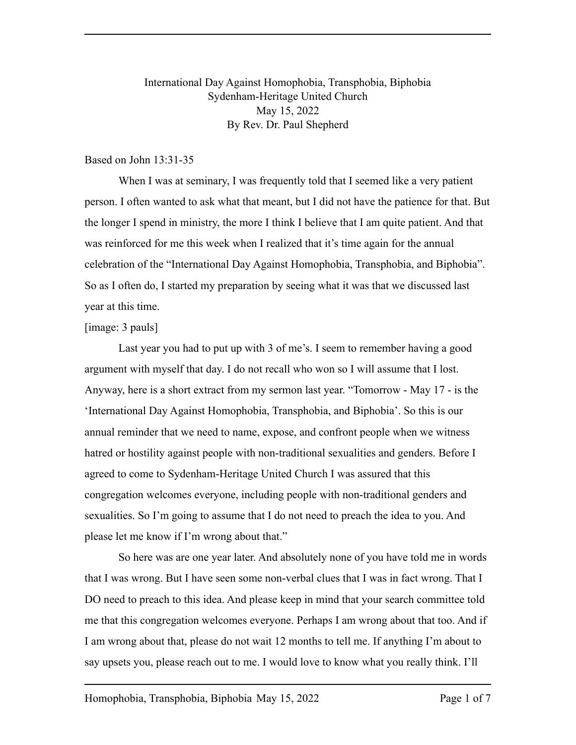## International Day Against Homophobia, Transphobia, Biphobia Sydenham-Heritage United Church May 15, 2022 By Rev. Dr. Paul Shepherd

## Based on John 13:31-35

When I was at seminary, I was frequently told that I seemed like a very patient person. I often wanted to ask what that meant, but I did not have the patience for that. But the longer I spend in ministry, the more I think I believe that I am quite patient. And that was reinforced for me this week when I realized that it's time again for the annual celebration of the "International Day Against Homophobia, Transphobia, and Biphobia". So as I often do, I started my preparation by seeing what it was that we discussed last year at this time.

## [image: 3 pauls]

Last year you had to put up with 3 of me's. I seem to remember having a good argument with myself that day. I do not recall who won so I will assume that I lost. Anyway, here is a short extract from my sermon last year. "Tomorrow - May 17 - is the 'International Day Against Homophobia, Transphobia, and Biphobia'. So this is our annual reminder that we need to name, expose, and confront people when we witness hatred or hostility against people with non-traditional sexualities and genders. Before I agreed to come to Sydenham-Heritage United Church I was assured that this congregation welcomes everyone, including people with non-traditional genders and sexualities. So I'm going to assume that I do not need to preach the idea to you. And please let me know if I'm wrong about that."

So here was are one year later. And absolutely none of you have told me in words that I was wrong. But I have seen some non-verbal clues that I was in fact wrong. That I DO need to preach to this idea. And please keep in mind that your search committee told me that this congregation welcomes everyone. Perhaps I am wrong about that too. And if I am wrong about that, please do not wait 12 months to tell me. If anything I'm about to say upsets you, please reach out to me. I would love to know what you really think. I'll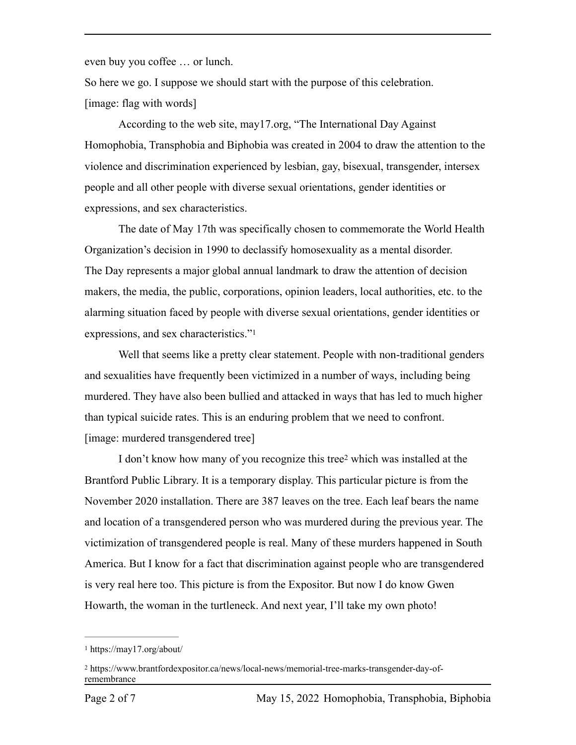even buy you coffee … or lunch.

So here we go. I suppose we should start with the purpose of this celebration. [image: flag with words]

According to the web site, may17.org, "The International Day Against Homophobia, Transphobia and Biphobia was created in 2004 to draw the attention to the violence and discrimination experienced by lesbian, gay, bisexual, transgender, intersex people and all other people with diverse sexual orientations, gender identities or expressions, and sex characteristics.

The date of May 17th was specifically chosen to commemorate the World Health Organization's decision in 1990 to declassify homosexuality as a mental disorder. The Day represents a major global annual landmark to draw the attention of decision makers, the media, the public, corporations, opinion leaders, local authorities, etc. to the alarming situation faced by people with diverse sexual orientations, gender identities or expressions, and sex characteristics.["1](#page-1-0)

<span id="page-1-2"></span>Well that seems like a pretty clear statement. People with non-traditional genders and sexualities have frequently been victimized in a number of ways, including being murdered. They have also been bullied and attacked in ways that has led to much higher than typical suicide rates. This is an enduring problem that we need to confront. [image: murdered transgendered tree]

<span id="page-1-3"></span>I don't know how many of you r[e](#page-1-1)cognize this tree<sup>[2](#page-1-1)</sup> which was installed at the Brantford Public Library. It is a temporary display. This particular picture is from the November 2020 installation. There are 387 leaves on the tree. Each leaf bears the name and location of a transgendered person who was murdered during the previous year. The victimization of transgendered people is real. Many of these murders happened in South America. But I know for a fact that discrimination against people who are transgendered is very real here too. This picture is from the Expositor. But now I do know Gwen Howarth, the woman in the turtleneck. And next year, I'll take my own photo!

<span id="page-1-0"></span>https://may17.org/about/ [1](#page-1-2)

<span id="page-1-1"></span>https://www.brantfordexpositor.ca/news/local-news/memorial-tree-marks-transgender-day-of- [2](#page-1-3) remembrance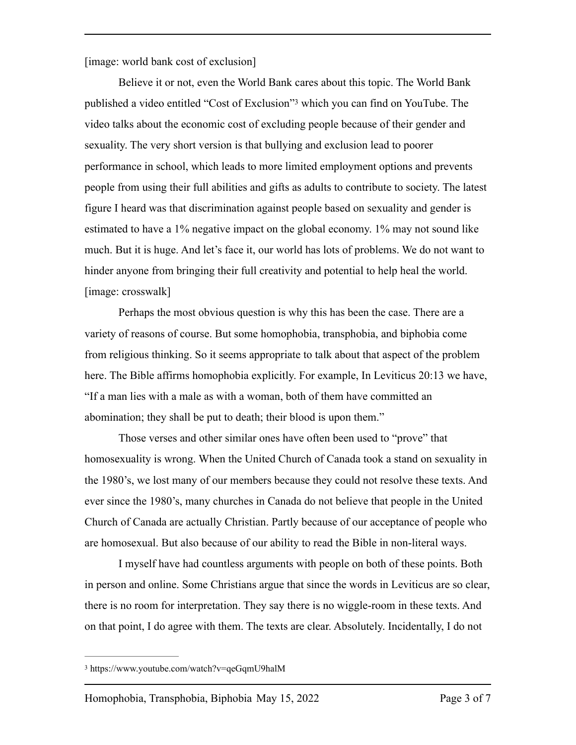[image: world bank cost of exclusion]

<span id="page-2-1"></span>Believe it or not, even the World Bank cares about this topic. The World Bank published a video entitled ["](#page-2-0)Cost of Exclusion"<sup>[3](#page-2-0)</sup> which you can find on YouTube. The video talks about the economic cost of excluding people because of their gender and sexuality. The very short version is that bullying and exclusion lead to poorer performance in school, which leads to more limited employment options and prevents people from using their full abilities and gifts as adults to contribute to society. The latest figure I heard was that discrimination against people based on sexuality and gender is estimated to have a 1% negative impact on the global economy. 1% may not sound like much. But it is huge. And let's face it, our world has lots of problems. We do not want to hinder anyone from bringing their full creativity and potential to help heal the world. [image: crosswalk]

Perhaps the most obvious question is why this has been the case. There are a variety of reasons of course. But some homophobia, transphobia, and biphobia come from religious thinking. So it seems appropriate to talk about that aspect of the problem here. The Bible affirms homophobia explicitly. For example, In Leviticus 20:13 we have, "If a man lies with a male as with a woman, both of them have committed an abomination; they shall be put to death; their blood is upon them."

Those verses and other similar ones have often been used to "prove" that homosexuality is wrong. When the United Church of Canada took a stand on sexuality in the 1980's, we lost many of our members because they could not resolve these texts. And ever since the 1980's, many churches in Canada do not believe that people in the United Church of Canada are actually Christian. Partly because of our acceptance of people who are homosexual. But also because of our ability to read the Bible in non-literal ways.

I myself have had countless arguments with people on both of these points. Both in person and online. Some Christians argue that since the words in Leviticus are so clear, there is no room for interpretation. They say there is no wiggle-room in these texts. And on that point, I do agree with them. The texts are clear. Absolutely. Incidentally, I do not

<span id="page-2-0"></span>[<sup>3</sup>](#page-2-1) https://www.youtube.com/watch?v=qeGqmU9halM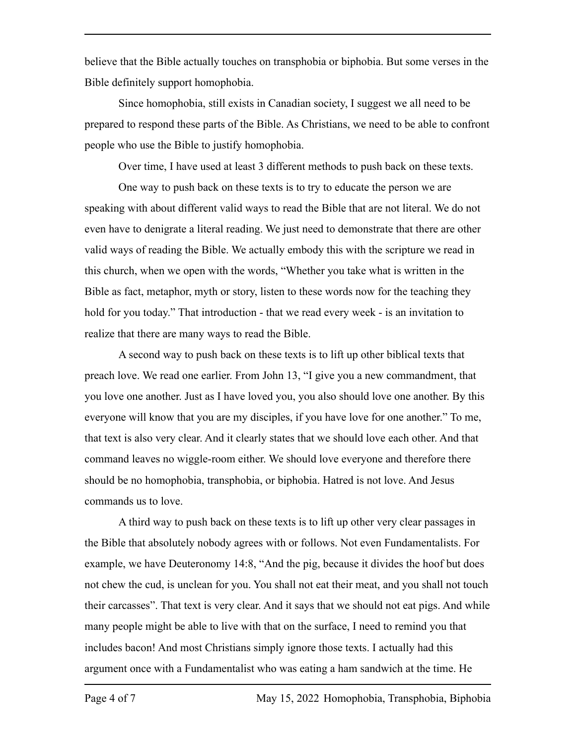believe that the Bible actually touches on transphobia or biphobia. But some verses in the Bible definitely support homophobia.

Since homophobia, still exists in Canadian society, I suggest we all need to be prepared to respond these parts of the Bible. As Christians, we need to be able to confront people who use the Bible to justify homophobia.

Over time, I have used at least 3 different methods to push back on these texts.

One way to push back on these texts is to try to educate the person we are speaking with about different valid ways to read the Bible that are not literal. We do not even have to denigrate a literal reading. We just need to demonstrate that there are other valid ways of reading the Bible. We actually embody this with the scripture we read in this church, when we open with the words, "Whether you take what is written in the Bible as fact, metaphor, myth or story, listen to these words now for the teaching they hold for you today." That introduction - that we read every week - is an invitation to realize that there are many ways to read the Bible.

A second way to push back on these texts is to lift up other biblical texts that preach love. We read one earlier. From John 13, "I give you a new commandment, that you love one another. Just as I have loved you, you also should love one another. By this everyone will know that you are my disciples, if you have love for one another." To me, that text is also very clear. And it clearly states that we should love each other. And that command leaves no wiggle-room either. We should love everyone and therefore there should be no homophobia, transphobia, or biphobia. Hatred is not love. And Jesus commands us to love.

A third way to push back on these texts is to lift up other very clear passages in the Bible that absolutely nobody agrees with or follows. Not even Fundamentalists. For example, we have Deuteronomy 14:8, "And the pig, because it divides the hoof but does not chew the cud, is unclean for you. You shall not eat their meat, and you shall not touch their carcasses". That text is very clear. And it says that we should not eat pigs. And while many people might be able to live with that on the surface, I need to remind you that includes bacon! And most Christians simply ignore those texts. I actually had this argument once with a Fundamentalist who was eating a ham sandwich at the time. He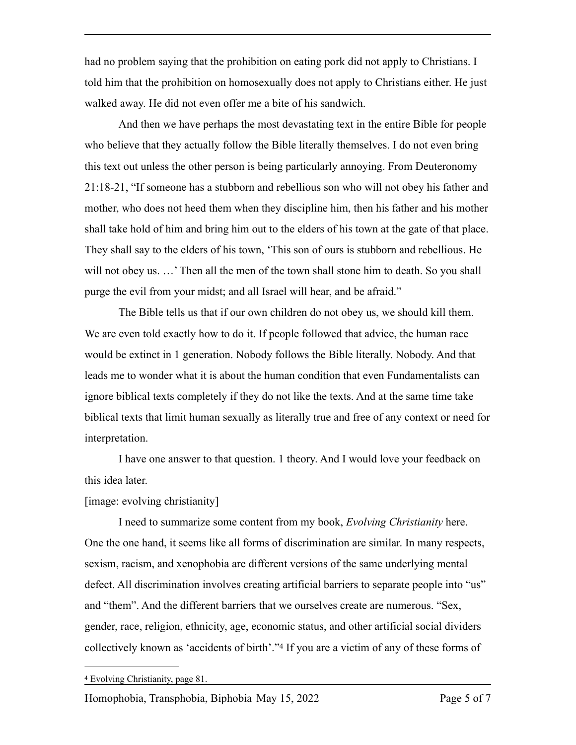had no problem saying that the prohibition on eating pork did not apply to Christians. I told him that the prohibition on homosexually does not apply to Christians either. He just walked away. He did not even offer me a bite of his sandwich.

And then we have perhaps the most devastating text in the entire Bible for people who believe that they actually follow the Bible literally themselves. I do not even bring this text out unless the other person is being particularly annoying. From Deuteronomy 21:18-21, "If someone has a stubborn and rebellious son who will not obey his father and mother, who does not heed them when they discipline him, then his father and his mother shall take hold of him and bring him out to the elders of his town at the gate of that place. They shall say to the elders of his town, 'This son of ours is stubborn and rebellious. He will not obey us. ...' Then all the men of the town shall stone him to death. So you shall purge the evil from your midst; and all Israel will hear, and be afraid."

The Bible tells us that if our own children do not obey us, we should kill them. We are even told exactly how to do it. If people followed that advice, the human race would be extinct in 1 generation. Nobody follows the Bible literally. Nobody. And that leads me to wonder what it is about the human condition that even Fundamentalists can ignore biblical texts completely if they do not like the texts. And at the same time take biblical texts that limit human sexually as literally true and free of any context or need for interpretation.

I have one answer to that question. 1 theory. And I would love your feedback on this idea later.

[image: evolving christianity]

I need to summarize some content from my book, *Evolving Christianity* here. One the one hand, it seems like all forms of discrimination are similar. In many respects, sexism, racism, and xenophobia are different versions of the same underlying mental defect. All discrimination involves creating artificial barriers to separate people into "us" and "them". And the different barriers that we ourselves create are numerous. "Sex, gender, race, religion, ethnicity, age, economic status, and other artificial social dividers collectively known as 'accidents of birth'.["](#page-4-0)<sup>[4](#page-4-0)</sup> If you are a victim of any of these forms of

Homophobia, Transphobia, Biphobia May 15, 2022 Page 5 of 7

<span id="page-4-1"></span><span id="page-4-0"></span>Evolving Christianity, page 81. [4](#page-4-1)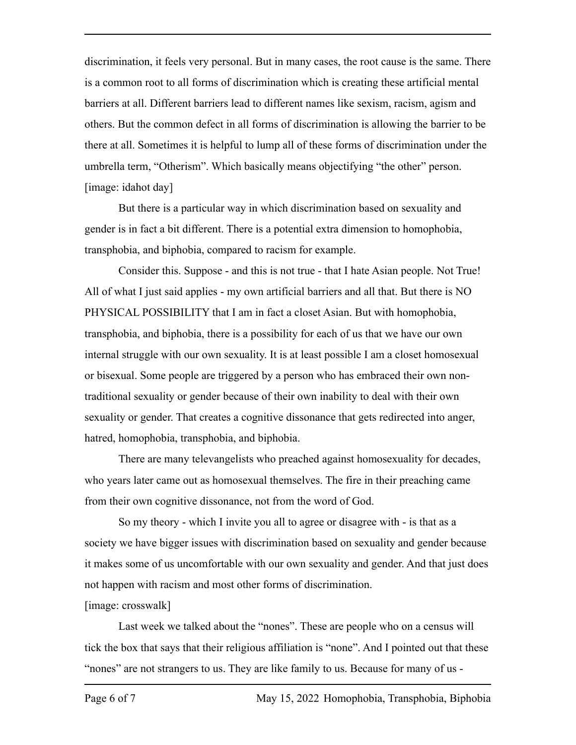discrimination, it feels very personal. But in many cases, the root cause is the same. There is a common root to all forms of discrimination which is creating these artificial mental barriers at all. Different barriers lead to different names like sexism, racism, agism and others. But the common defect in all forms of discrimination is allowing the barrier to be there at all. Sometimes it is helpful to lump all of these forms of discrimination under the umbrella term, "Otherism". Which basically means objectifying "the other" person. [image: idahot day]

But there is a particular way in which discrimination based on sexuality and gender is in fact a bit different. There is a potential extra dimension to homophobia, transphobia, and biphobia, compared to racism for example.

Consider this. Suppose - and this is not true - that I hate Asian people. Not True! All of what I just said applies - my own artificial barriers and all that. But there is NO PHYSICAL POSSIBILITY that I am in fact a closet Asian. But with homophobia, transphobia, and biphobia, there is a possibility for each of us that we have our own internal struggle with our own sexuality. It is at least possible I am a closet homosexual or bisexual. Some people are triggered by a person who has embraced their own nontraditional sexuality or gender because of their own inability to deal with their own sexuality or gender. That creates a cognitive dissonance that gets redirected into anger, hatred, homophobia, transphobia, and biphobia.

There are many televangelists who preached against homosexuality for decades, who years later came out as homosexual themselves. The fire in their preaching came from their own cognitive dissonance, not from the word of God.

So my theory - which I invite you all to agree or disagree with - is that as a society we have bigger issues with discrimination based on sexuality and gender because it makes some of us uncomfortable with our own sexuality and gender. And that just does not happen with racism and most other forms of discrimination.

## [image: crosswalk]

Last week we talked about the "nones". These are people who on a census will tick the box that says that their religious affiliation is "none". And I pointed out that these "nones" are not strangers to us. They are like family to us. Because for many of us -